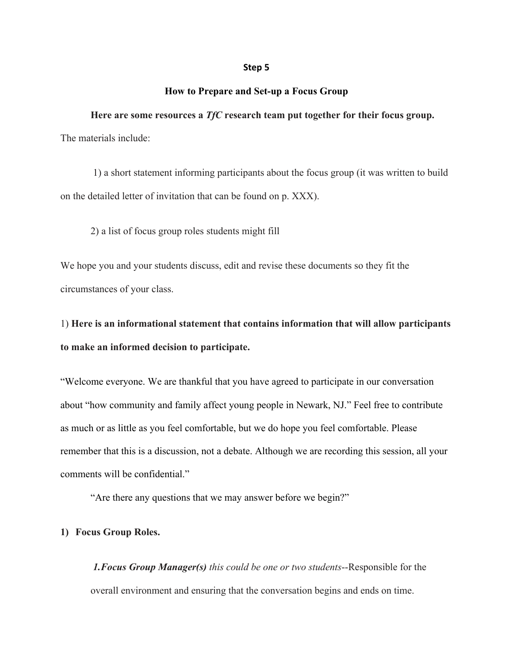#### **Step 5**

### **How to Prepare and Set-up a Focus Group**

**Here are some resources a** *TfC* **research team put together for their focus group.**  The materials include:

1) a short statement informing participants about the focus group (it was written to build on the detailed letter of invitation that can be found on p. XXX).

2) a list of focus group roles students might fill

We hope you and your students discuss, edit and revise these documents so they fit the circumstances of your class.

1) **Here is an informational statement that contains information that will allow participants to make an informed decision to participate.**

"Welcome everyone. We are thankful that you have agreed to participate in our conversation about "how community and family affect young people in Newark, NJ." Feel free to contribute as much or as little as you feel comfortable, but we do hope you feel comfortable. Please remember that this is a discussion, not a debate. Although we are recording this session, all your comments will be confidential."

"Are there any questions that we may answer before we begin?"

#### **1) Focus Group Roles.**

*1.Focus Group Manager(s) this could be one or two students*--Responsible for the overall environment and ensuring that the conversation begins and ends on time.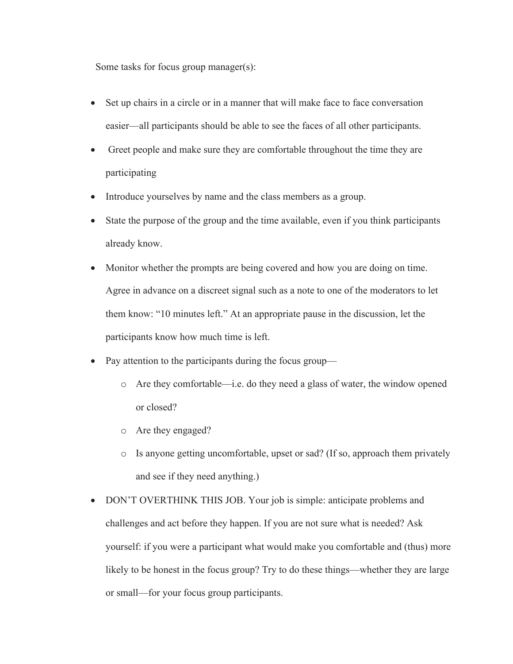Some tasks for focus group manager(s):

- Set up chairs in a circle or in a manner that will make face to face conversation easier—all participants should be able to see the faces of all other participants.
- Greet people and make sure they are comfortable throughout the time they are participating
- Introduce yourselves by name and the class members as a group.
- State the purpose of the group and the time available, even if you think participants already know.
- Monitor whether the prompts are being covered and how you are doing on time. Agree in advance on a discreet signal such as a note to one of the moderators to let them know: "10 minutes left." At an appropriate pause in the discussion, let the participants know how much time is left.
- Pay attention to the participants during the focus group
	- o Are they comfortable—i.e. do they need a glass of water, the window opened or closed?
	- o Are they engaged?
	- o Is anyone getting uncomfortable, upset or sad? (If so, approach them privately and see if they need anything.)
- DON'T OVERTHINK THIS JOB. Your job is simple: anticipate problems and challenges and act before they happen. If you are not sure what is needed? Ask yourself: if you were a participant what would make you comfortable and (thus) more likely to be honest in the focus group? Try to do these things—whether they are large or small—for your focus group participants.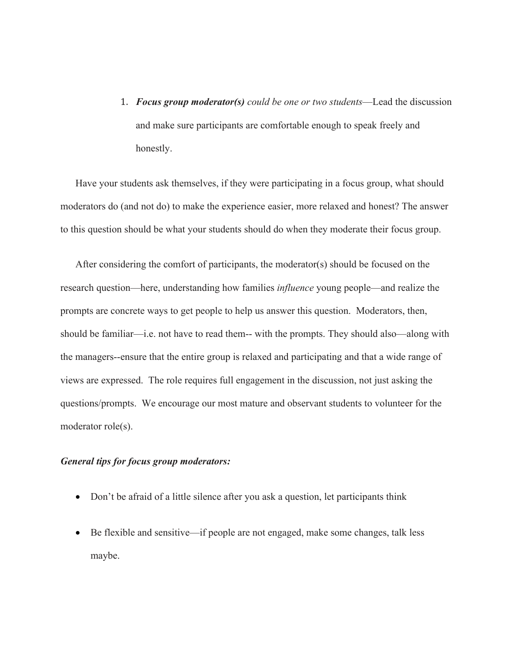1. *Focus group moderator(s) could be one or two students*—Lead the discussion and make sure participants are comfortable enough to speak freely and honestly.

Have your students ask themselves, if they were participating in a focus group, what should moderators do (and not do) to make the experience easier, more relaxed and honest? The answer to this question should be what your students should do when they moderate their focus group.

After considering the comfort of participants, the moderator(s) should be focused on the research question—here, understanding how families *influence* young people—and realize the prompts are concrete ways to get people to help us answer this question. Moderators, then, should be familiar—i.e. not have to read them-- with the prompts. They should also—along with the managers--ensure that the entire group is relaxed and participating and that a wide range of views are expressed. The role requires full engagement in the discussion, not just asking the questions/prompts. We encourage our most mature and observant students to volunteer for the moderator role(s).

## *General tips for focus group moderators:*

- Don't be afraid of a little silence after you ask a question, let participants think
- Be flexible and sensitive—if people are not engaged, make some changes, talk less maybe.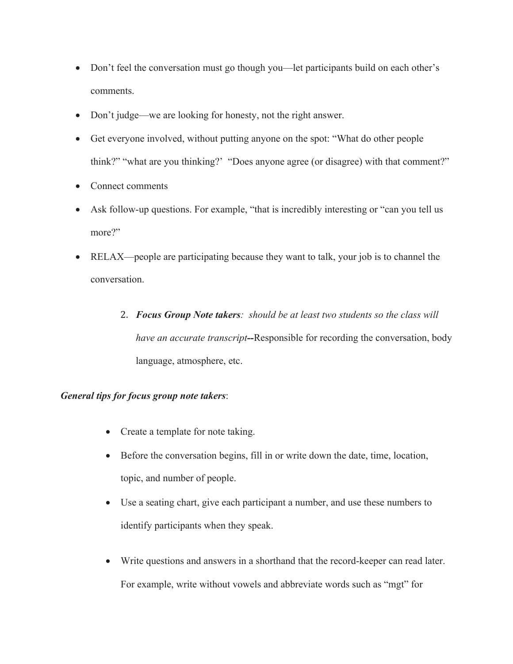- Don't feel the conversation must go though you—let participants build on each other's comments.
- Don't judge—we are looking for honesty, not the right answer.
- Get everyone involved, without putting anyone on the spot: "What do other people think?" "what are you thinking?' "Does anyone agree (or disagree) with that comment?"
- Connect comments
- Ask follow-up questions. For example, "that is incredibly interesting or "can you tell us more?"
- RELAX—people are participating because they want to talk, your job is to channel the conversation.
	- 2. *Focus Group Note takers: should be at least two students so the class will have an accurate transcript--*Responsible for recording the conversation, body language, atmosphere, etc.

# *General tips for focus group note takers*:

- Create a template for note taking.
- Before the conversation begins, fill in or write down the date, time, location, topic, and number of people.
- Use a seating chart, give each participant a number, and use these numbers to identify participants when they speak.
- Write questions and answers in a shorthand that the record-keeper can read later. For example, write without vowels and abbreviate words such as "mgt" for